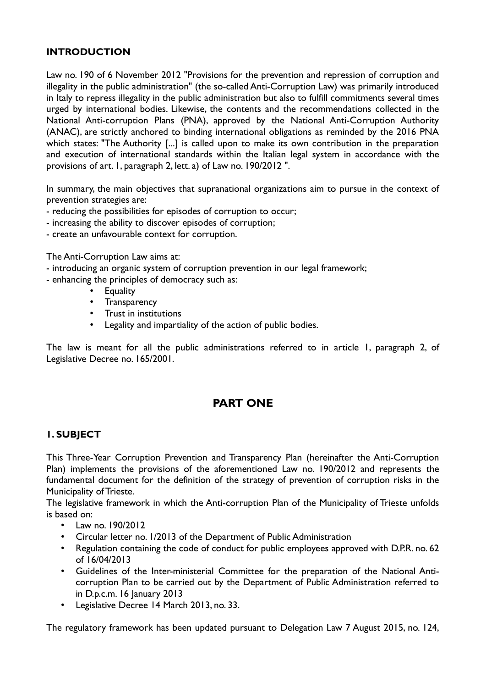## **INTRODUCTION**

Law no. 190 of 6 November 2012 "Provisions for the prevention and repression of corruption and illegality in the public administration" (the so-called Anti-Corruption Law) was primarily introduced in Italy to repress illegality in the public administration but also to fulfill commitments several times urged by international bodies. Likewise, the contents and the recommendations collected in the National Anti-corruption Plans (PNA), approved by the National Anti-Corruption Authority (ANAC), are strictly anchored to binding international obligations as reminded by the 2016 PNA which states: "The Authority [...] is called upon to make its own contribution in the preparation and execution of international standards within the Italian legal system in accordance with the provisions of art. 1, paragraph 2, lett. a) of Law no. 190/2012 ".

In summary, the main objectives that supranational organizations aim to pursue in the context of prevention strategies are:

- reducing the possibilities for episodes of corruption to occur;
- increasing the ability to discover episodes of corruption;
- create an unfavourable context for corruption.

The Anti-Corruption Law aims at:

- introducing an organic system of corruption prevention in our legal framework;
- enhancing the principles of democracy such as:
	- Equality
	- Transparency
	- Trust in institutions
	- Legality and impartiality of the action of public bodies.

The law is meant for all the public administrations referred to in article 1, paragraph 2, of Legislative Decree no. 165/2001.

# **PART ONE**

## **1. SUBJECT**

This Three-Year Corruption Prevention and Transparency Plan (hereinafter the Anti-Corruption Plan) implements the provisions of the aforementioned Law no. 190/2012 and represents the fundamental document for the definition of the strategy of prevention of corruption risks in the Municipality of Trieste.

The legislative framework in which the Anti-corruption Plan of the Municipality of Trieste unfolds is based on:

- Law no. 190/2012
- Circular letter no. 1/2013 of the Department of Public Administration
- Regulation containing the code of conduct for public employees approved with D.P.R. no. 62 of 16/04/2013
- Guidelines of the Inter-ministerial Committee for the preparation of the National Anticorruption Plan to be carried out by the Department of Public Administration referred to in D.p.c.m. 16 January 2013
- Legislative Decree 14 March 2013, no. 33.

The regulatory framework has been updated pursuant to Delegation Law 7 August 2015, no. 124,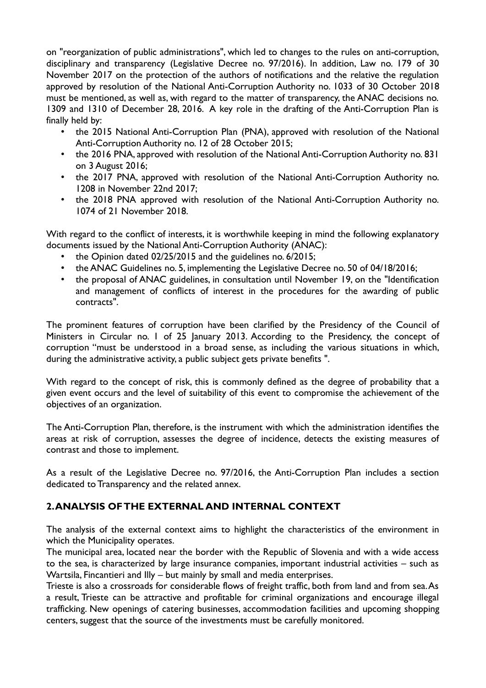on "reorganization of public administrations", which led to changes to the rules on anti-corruption, disciplinary and transparency (Legislative Decree no. 97/2016). In addition, Law no. 179 of 30 November 2017 on the protection of the authors of notifications and the relative the regulation approved by resolution of the National Anti-Corruption Authority no. 1033 of 30 October 2018 must be mentioned, as well as, with regard to the matter of transparency, the ANAC decisions no. 1309 and 1310 of December 28, 2016. A key role in the drafting of the Anti-Corruption Plan is finally held by:

- the 2015 National Anti-Corruption Plan (PNA), approved with resolution of the National Anti-Corruption Authority no. 12 of 28 October 2015;
- the 2016 PNA, approved with resolution of the National Anti-Corruption Authority no. 831 on 3 August 2016;
- the 2017 PNA, approved with resolution of the National Anti-Corruption Authority no. 1208 in November 22nd 2017;
- the 2018 PNA approved with resolution of the National Anti-Corruption Authority no. 1074 of 21 November 2018.

With regard to the conflict of interests, it is worthwhile keeping in mind the following explanatory documents issued by the National Anti-Corruption Authority (ANAC):

- the Opinion dated 02/25/2015 and the guidelines no. 6/2015;
- the ANAC Guidelines no. 5, implementing the Legislative Decree no. 50 of 04/18/2016;
- the proposal of ANAC guidelines, in consultation until November 19, on the "Identification and management of conflicts of interest in the procedures for the awarding of public contracts".

The prominent features of corruption have been clarified by the Presidency of the Council of Ministers in Circular no. 1 of 25 January 2013. According to the Presidency, the concept of corruption "must be understood in a broad sense, as including the various situations in which, during the administrative activity, a public subject gets private benefits ".

With regard to the concept of risk, this is commonly defined as the degree of probability that a given event occurs and the level of suitability of this event to compromise the achievement of the objectives of an organization.

The Anti-Corruption Plan, therefore, is the instrument with which the administration identifies the areas at risk of corruption, assesses the degree of incidence, detects the existing measures of contrast and those to implement.

As a result of the Legislative Decree no. 97/2016, the Anti-Corruption Plan includes a section dedicated to Transparency and the related annex.

# **2. ANALYSIS OF THE EXTERNAL AND INTERNAL CONTEXT**

The analysis of the external context aims to highlight the characteristics of the environment in which the Municipality operates.

The municipal area, located near the border with the Republic of Slovenia and with a wide access to the sea, is characterized by large insurance companies, important industrial activities – such as Wartsila, Fincantieri and Illy – but mainly by small and media enterprises.

Trieste is also a crossroads for considerable flows of freight traffic, both from land and from sea. As a result, Trieste can be attractive and profitable for criminal organizations and encourage illegal trafficking. New openings of catering businesses, accommodation facilities and upcoming shopping centers, suggest that the source of the investments must be carefully monitored.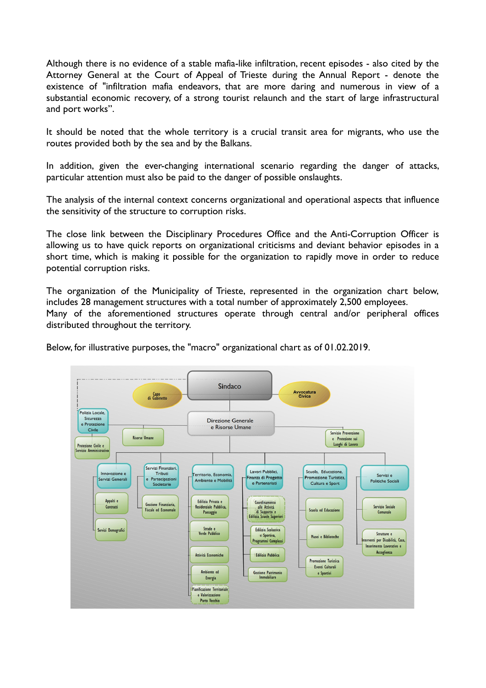Although there is no evidence of a stable mafia-like infiltration, recent episodes - also cited by the Attorney General at the Court of Appeal of Trieste during the Annual Report - denote the existence of "infiltration mafia endeavors, that are more daring and numerous in view of a substantial economic recovery, of a strong tourist relaunch and the start of large infrastructural and port works".

It should be noted that the whole territory is a crucial transit area for migrants, who use the routes provided both by the sea and by the Balkans.

In addition, given the ever-changing international scenario regarding the danger of attacks, particular attention must also be paid to the danger of possible onslaughts.

The analysis of the internal context concerns organizational and operational aspects that influence the sensitivity of the structure to corruption risks.

The close link between the Disciplinary Procedures Office and the Anti-Corruption Officer is allowing us to have quick reports on organizational criticisms and deviant behavior episodes in a short time, which is making it possible for the organization to rapidly move in order to reduce potential corruption risks.

The organization of the Municipality of Trieste, represented in the organization chart below, includes 28 management structures with a total number of approximately 2,500 employees. Many of the aforementioned structures operate through central and/or peripheral offices distributed throughout the territory.

Below, for illustrative purposes, the "macro" organizational chart as of 01.02.2019.

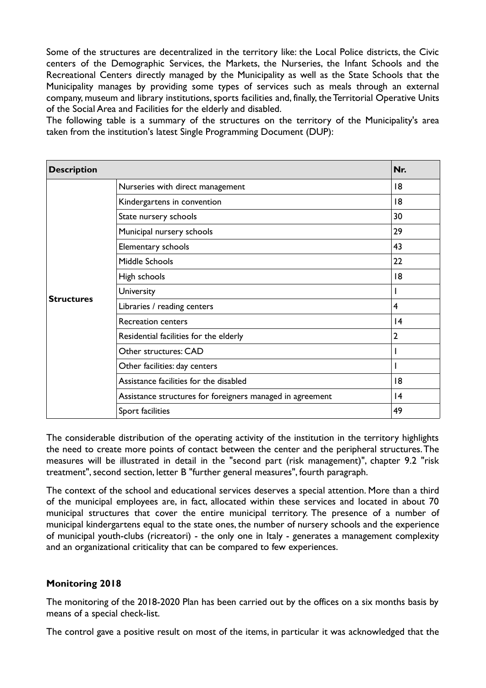Some of the structures are decentralized in the territory like: the Local Police districts, the Civic centers of the Demographic Services, the Markets, the Nurseries, the Infant Schools and the Recreational Centers directly managed by the Municipality as well as the State Schools that the Municipality manages by providing some types of services such as meals through an external company, museum and library institutions, sports facilities and, finally, the Territorial Operative Units of the Social Area and Facilities for the elderly and disabled.

The following table is a summary of the structures on the territory of the Municipality's area taken from the institution's latest Single Programming Document (DUP):

| <b>Description</b> |                                                           | Nr.            |
|--------------------|-----------------------------------------------------------|----------------|
| <b>Structures</b>  | Nurseries with direct management                          | 18             |
|                    | Kindergartens in convention                               | 8              |
|                    | State nursery schools                                     | 30             |
|                    | Municipal nursery schools                                 | 29             |
|                    | Elementary schools                                        | 43             |
|                    | Middle Schools                                            | 22             |
|                    | High schools                                              | 18             |
|                    | University                                                | ı              |
|                    | Libraries / reading centers                               | $\overline{4}$ |
|                    | Recreation centers                                        | 4              |
|                    | Residential facilities for the elderly                    | $\overline{2}$ |
|                    | Other structures: CAD                                     | I              |
|                    | Other facilities: day centers                             |                |
|                    | Assistance facilities for the disabled                    | 8              |
|                    | Assistance structures for foreigners managed in agreement | 4              |
|                    | Sport facilities                                          | 49             |

The considerable distribution of the operating activity of the institution in the territory highlights the need to create more points of contact between the center and the peripheral structures. The measures will be illustrated in detail in the "second part (risk management)", chapter 9.2 "risk treatment", second section, letter B "further general measures", fourth paragraph.

The context of the school and educational services deserves a special attention. More than a third of the municipal employees are, in fact, allocated within these services and located in about 70 municipal structures that cover the entire municipal territory. The presence of a number of municipal kindergartens equal to the state ones, the number of nursery schools and the experience of municipal youth-clubs (ricreatori) - the only one in Italy - generates a management complexity and an organizational criticality that can be compared to few experiences.

## **Monitoring 2018**

The monitoring of the 2018-2020 Plan has been carried out by the offices on a six months basis by means of a special check-list.

The control gave a positive result on most of the items, in particular it was acknowledged that the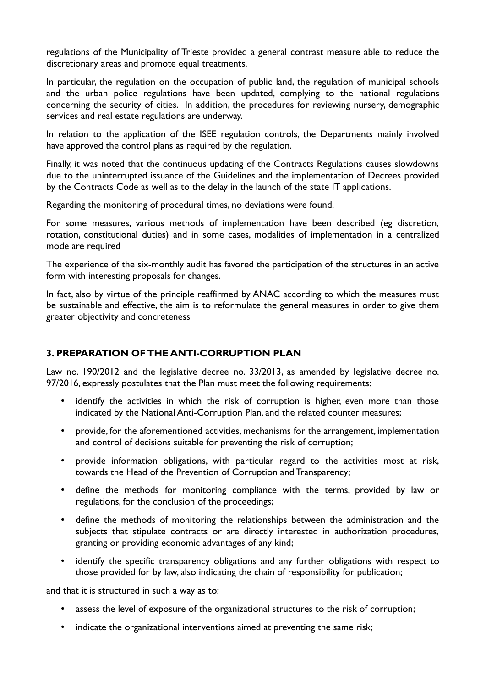regulations of the Municipality of Trieste provided a general contrast measure able to reduce the discretionary areas and promote equal treatments.

In particular, the regulation on the occupation of public land, the regulation of municipal schools and the urban police regulations have been updated, complying to the national regulations concerning the security of cities. In addition, the procedures for reviewing nursery, demographic services and real estate regulations are underway.

In relation to the application of the ISEE regulation controls, the Departments mainly involved have approved the control plans as required by the regulation.

Finally, it was noted that the continuous updating of the Contracts Regulations causes slowdowns due to the uninterrupted issuance of the Guidelines and the implementation of Decrees provided by the Contracts Code as well as to the delay in the launch of the state IT applications.

Regarding the monitoring of procedural times, no deviations were found.

For some measures, various methods of implementation have been described (eg discretion, rotation, constitutional duties) and in some cases, modalities of implementation in a centralized mode are required

The experience of the six-monthly audit has favored the participation of the structures in an active form with interesting proposals for changes.

In fact, also by virtue of the principle reaffirmed by ANAC according to which the measures must be sustainable and effective, the aim is to reformulate the general measures in order to give them greater objectivity and concreteness

## **3. PREPARATION OF THE ANTI-CORRUPTION PLAN**

Law no. 190/2012 and the legislative decree no. 33/2013, as amended by legislative decree no. 97/2016, expressly postulates that the Plan must meet the following requirements:

- identify the activities in which the risk of corruption is higher, even more than those indicated by the National Anti-Corruption Plan, and the related counter measures;
- provide, for the aforementioned activities, mechanisms for the arrangement, implementation and control of decisions suitable for preventing the risk of corruption;
- provide information obligations, with particular regard to the activities most at risk, towards the Head of the Prevention of Corruption and Transparency;
- define the methods for monitoring compliance with the terms, provided by law or regulations, for the conclusion of the proceedings;
- define the methods of monitoring the relationships between the administration and the subjects that stipulate contracts or are directly interested in authorization procedures, granting or providing economic advantages of any kind;
- identify the specific transparency obligations and any further obligations with respect to those provided for by law, also indicating the chain of responsibility for publication;

and that it is structured in such a way as to:

- assess the level of exposure of the organizational structures to the risk of corruption;
- indicate the organizational interventions aimed at preventing the same risk;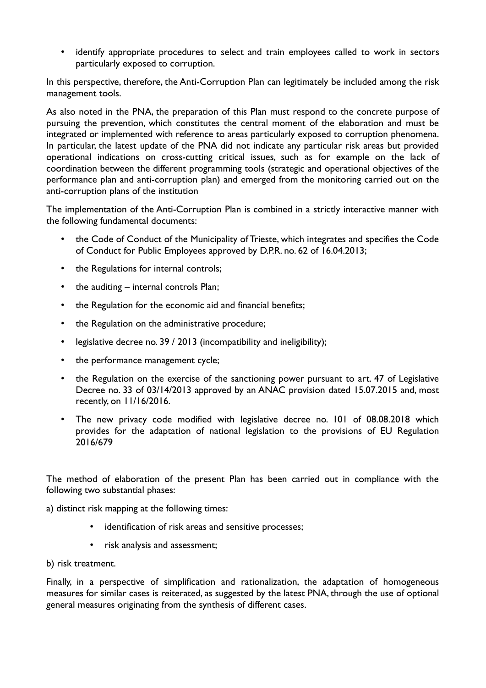• identify appropriate procedures to select and train employees called to work in sectors particularly exposed to corruption.

In this perspective, therefore, the Anti-Corruption Plan can legitimately be included among the risk management tools.

As also noted in the PNA, the preparation of this Plan must respond to the concrete purpose of pursuing the prevention, which constitutes the central moment of the elaboration and must be integrated or implemented with reference to areas particularly exposed to corruption phenomena. In particular, the latest update of the PNA did not indicate any particular risk areas but provided operational indications on cross-cutting critical issues, such as for example on the lack of coordination between the different programming tools (strategic and operational objectives of the performance plan and anti-corruption plan) and emerged from the monitoring carried out on the anti-corruption plans of the institution

The implementation of the Anti-Corruption Plan is combined in a strictly interactive manner with the following fundamental documents:

- the Code of Conduct of the Municipality of Trieste, which integrates and specifies the Code of Conduct for Public Employees approved by D.P.R. no. 62 of 16.04.2013;
- the Regulations for internal controls;
- the auditing  $-$  internal controls Plan;
- the Regulation for the economic aid and financial benefits;
- the Regulation on the administrative procedure;
- legislative decree no. 39 / 2013 (incompatibility and ineligibility);
- the performance management cycle;
- the Regulation on the exercise of the sanctioning power pursuant to art. 47 of Legislative Decree no. 33 of 03/14/2013 approved by an ANAC provision dated 15.07.2015 and, most recently, on 11/16/2016.
- The new privacy code modified with legislative decree no. 101 of 08.08.2018 which provides for the adaptation of national legislation to the provisions of EU Regulation 2016/679

The method of elaboration of the present Plan has been carried out in compliance with the following two substantial phases:

a) distinct risk mapping at the following times:

- identification of risk areas and sensitive processes;
- risk analysis and assessment;

b) risk treatment.

Finally, in a perspective of simplification and rationalization, the adaptation of homogeneous measures for similar cases is reiterated, as suggested by the latest PNA, through the use of optional general measures originating from the synthesis of different cases.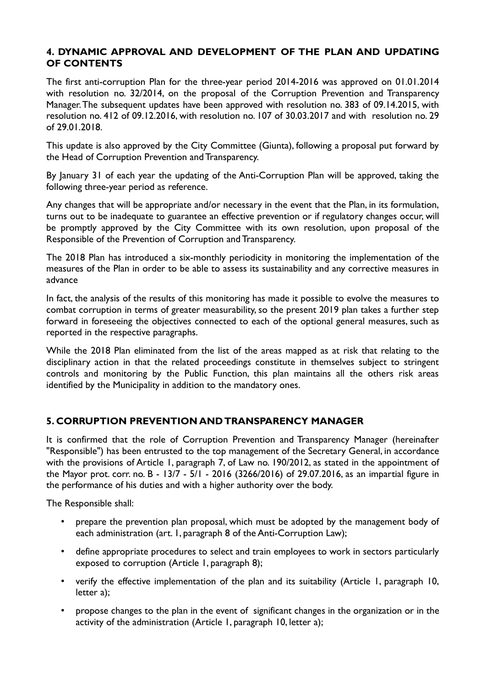## **4. DYNAMIC APPROVAL AND DEVELOPMENT OF THE PLAN AND UPDATING OF CONTENTS**

The first anti-corruption Plan for the three-year period 2014-2016 was approved on 01.01.2014 with resolution no. 32/2014, on the proposal of the Corruption Prevention and Transparency Manager. The subsequent updates have been approved with resolution no. 383 of 09.14.2015, with resolution no. 412 of 09.12.2016, with resolution no. 107 of 30.03.2017 and with resolution no. 29 of 29.01.2018.

This update is also approved by the City Committee (Giunta), following a proposal put forward by the Head of Corruption Prevention and Transparency.

By January 31 of each year the updating of the Anti-Corruption Plan will be approved, taking the following three-year period as reference.

Any changes that will be appropriate and/or necessary in the event that the Plan, in its formulation, turns out to be inadequate to guarantee an effective prevention or if regulatory changes occur, will be promptly approved by the City Committee with its own resolution, upon proposal of the Responsible of the Prevention of Corruption and Transparency.

The 2018 Plan has introduced a six-monthly periodicity in monitoring the implementation of the measures of the Plan in order to be able to assess its sustainability and any corrective measures in advance

In fact, the analysis of the results of this monitoring has made it possible to evolve the measures to combat corruption in terms of greater measurability, so the present 2019 plan takes a further step forward in foreseeing the objectives connected to each of the optional general measures, such as reported in the respective paragraphs.

While the 2018 Plan eliminated from the list of the areas mapped as at risk that relating to the disciplinary action in that the related proceedings constitute in themselves subject to stringent controls and monitoring by the Public Function, this plan maintains all the others risk areas identified by the Municipality in addition to the mandatory ones.

# **5. CORRUPTION PREVENTION AND TRANSPARENCY MANAGER**

It is confirmed that the role of Corruption Prevention and Transparency Manager (hereinafter "Responsible") has been entrusted to the top management of the Secretary General, in accordance with the provisions of Article 1, paragraph 7, of Law no. 190/2012, as stated in the appointment of the Mayor prot. corr. no. B - 13/7 - 5/1 - 2016 (3266/2016) of 29.07.2016, as an impartial figure in the performance of his duties and with a higher authority over the body.

The Responsible shall:

- prepare the prevention plan proposal, which must be adopted by the management body of each administration (art. 1, paragraph 8 of the Anti-Corruption Law);
- define appropriate procedures to select and train employees to work in sectors particularly exposed to corruption (Article 1, paragraph 8);
- verify the effective implementation of the plan and its suitability (Article 1, paragraph 10, letter a);
- propose changes to the plan in the event of significant changes in the organization or in the activity of the administration (Article 1, paragraph 10, letter a);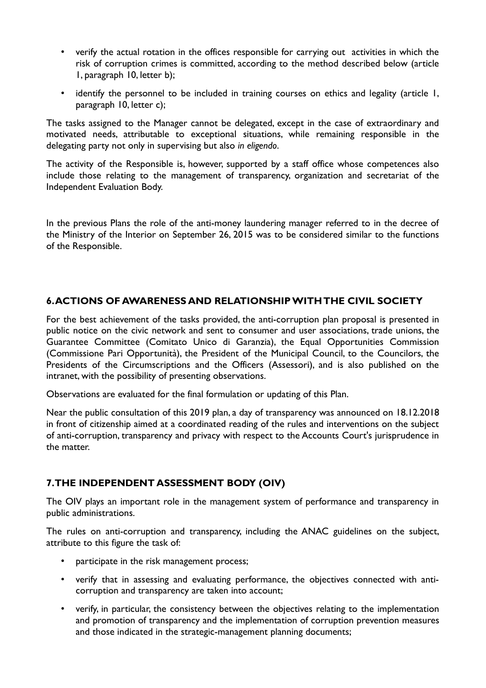- verify the actual rotation in the offices responsible for carrying out activities in which the risk of corruption crimes is committed, according to the method described below (article 1, paragraph 10, letter b);
- identify the personnel to be included in training courses on ethics and legality (article 1, paragraph 10, letter c);

The tasks assigned to the Manager cannot be delegated, except in the case of extraordinary and motivated needs, attributable to exceptional situations, while remaining responsible in the delegating party not only in supervising but also *in eligendo*.

The activity of the Responsible is, however, supported by a staff office whose competences also include those relating to the management of transparency, organization and secretariat of the Independent Evaluation Body.

In the previous Plans the role of the anti-money laundering manager referred to in the decree of the Ministry of the Interior on September 26, 2015 was to be considered similar to the functions of the Responsible.

## **6. ACTIONS OF AWARENESS AND RELATIONSHIP WITH THE CIVIL SOCIETY**

For the best achievement of the tasks provided, the anti-corruption plan proposal is presented in public notice on the civic network and sent to consumer and user associations, trade unions, the Guarantee Committee (Comitato Unico di Garanzia), the Equal Opportunities Commission (Commissione Pari Opportunità), the President of the Municipal Council, to the Councilors, the Presidents of the Circumscriptions and the Officers (Assessori), and is also published on the intranet, with the possibility of presenting observations.

Observations are evaluated for the final formulation or updating of this Plan.

Near the public consultation of this 2019 plan, a day of transparency was announced on 18.12.2018 in front of citizenship aimed at a coordinated reading of the rules and interventions on the subject of anti-corruption, transparency and privacy with respect to the Accounts Court's jurisprudence in the matter.

# **7. THE INDEPENDENT ASSESSMENT BODY (OIV)**

The OIV plays an important role in the management system of performance and transparency in public administrations.

The rules on anti-corruption and transparency, including the ANAC guidelines on the subject, attribute to this figure the task of:

- participate in the risk management process;
- verify that in assessing and evaluating performance, the objectives connected with anticorruption and transparency are taken into account;
- verify, in particular, the consistency between the objectives relating to the implementation and promotion of transparency and the implementation of corruption prevention measures and those indicated in the strategic-management planning documents;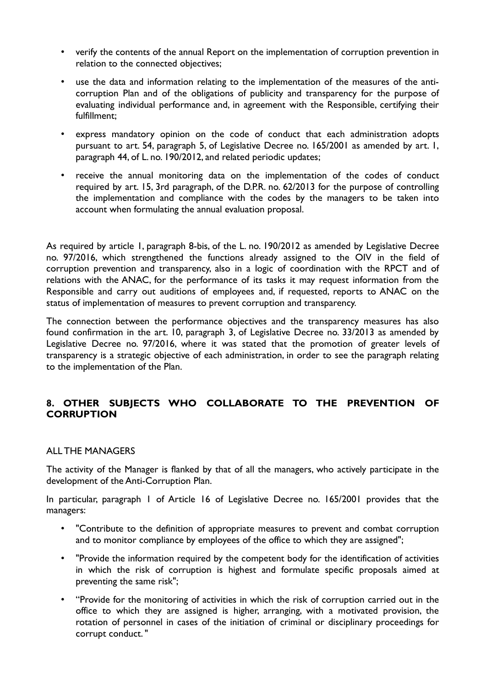- verify the contents of the annual Report on the implementation of corruption prevention in relation to the connected objectives;
- use the data and information relating to the implementation of the measures of the anticorruption Plan and of the obligations of publicity and transparency for the purpose of evaluating individual performance and, in agreement with the Responsible, certifying their fulfillment;
- express mandatory opinion on the code of conduct that each administration adopts pursuant to art. 54, paragraph 5, of Legislative Decree no. 165/2001 as amended by art. 1, paragraph 44, of L. no. 190/2012, and related periodic updates;
- receive the annual monitoring data on the implementation of the codes of conduct required by art. 15, 3rd paragraph, of the D.P.R. no. 62/2013 for the purpose of controlling the implementation and compliance with the codes by the managers to be taken into account when formulating the annual evaluation proposal.

As required by article 1, paragraph 8-bis, of the L. no. 190/2012 as amended by Legislative Decree no. 97/2016, which strengthened the functions already assigned to the OIV in the field of corruption prevention and transparency, also in a logic of coordination with the RPCT and of relations with the ANAC, for the performance of its tasks it may request information from the Responsible and carry out auditions of employees and, if requested, reports to ANAC on the status of implementation of measures to prevent corruption and transparency.

The connection between the performance objectives and the transparency measures has also found confirmation in the art. 10, paragraph 3, of Legislative Decree no. 33/2013 as amended by Legislative Decree no. 97/2016, where it was stated that the promotion of greater levels of transparency is a strategic objective of each administration, in order to see the paragraph relating to the implementation of the Plan.

## **8. OTHER SUBJECTS WHO COLLABORATE TO THE PREVENTION OF CORRUPTION**

## ALL THE MANAGERS

The activity of the Manager is flanked by that of all the managers, who actively participate in the development of the Anti-Corruption Plan.

In particular, paragraph 1 of Article 16 of Legislative Decree no. 165/2001 provides that the managers:

- "Contribute to the definition of appropriate measures to prevent and combat corruption and to monitor compliance by employees of the office to which they are assigned";
- "Provide the information required by the competent body for the identification of activities in which the risk of corruption is highest and formulate specific proposals aimed at preventing the same risk";
- "Provide for the monitoring of activities in which the risk of corruption carried out in the office to which they are assigned is higher, arranging, with a motivated provision, the rotation of personnel in cases of the initiation of criminal or disciplinary proceedings for corrupt conduct. "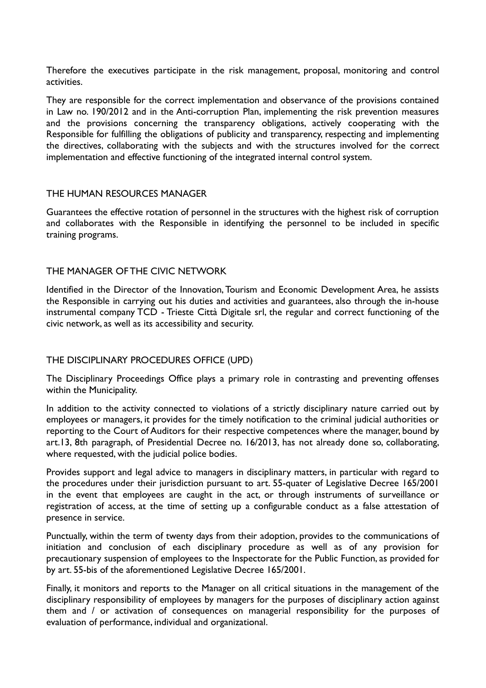Therefore the executives participate in the risk management, proposal, monitoring and control activities.

They are responsible for the correct implementation and observance of the provisions contained in Law no. 190/2012 and in the Anti-corruption Plan, implementing the risk prevention measures and the provisions concerning the transparency obligations, actively cooperating with the Responsible for fulfilling the obligations of publicity and transparency, respecting and implementing the directives, collaborating with the subjects and with the structures involved for the correct implementation and effective functioning of the integrated internal control system.

#### THE HUMAN RESOURCES MANAGER

Guarantees the effective rotation of personnel in the structures with the highest risk of corruption and collaborates with the Responsible in identifying the personnel to be included in specific training programs.

#### THE MANAGER OF THE CIVIC NETWORK

Identified in the Director of the Innovation, Tourism and Economic Development Area, he assists the Responsible in carrying out his duties and activities and guarantees, also through the in-house instrumental company TCD - Trieste Città Digitale srl, the regular and correct functioning of the civic network, as well as its accessibility and security.

## THE DISCIPLINARY PROCEDURES OFFICE (UPD)

The Disciplinary Proceedings Office plays a primary role in contrasting and preventing offenses within the Municipality.

In addition to the activity connected to violations of a strictly disciplinary nature carried out by employees or managers, it provides for the timely notification to the criminal judicial authorities or reporting to the Court of Auditors for their respective competences where the manager, bound by art.13, 8th paragraph, of Presidential Decree no. 16/2013, has not already done so, collaborating, where requested, with the judicial police bodies.

Provides support and legal advice to managers in disciplinary matters, in particular with regard to the procedures under their jurisdiction pursuant to art. 55-quater of Legislative Decree 165/2001 in the event that employees are caught in the act, or through instruments of surveillance or registration of access, at the time of setting up a configurable conduct as a false attestation of presence in service.

Punctually, within the term of twenty days from their adoption, provides to the communications of initiation and conclusion of each disciplinary procedure as well as of any provision for precautionary suspension of employees to the Inspectorate for the Public Function, as provided for by art. 55-bis of the aforementioned Legislative Decree 165/2001.

Finally, it monitors and reports to the Manager on all critical situations in the management of the disciplinary responsibility of employees by managers for the purposes of disciplinary action against them and / or activation of consequences on managerial responsibility for the purposes of evaluation of performance, individual and organizational.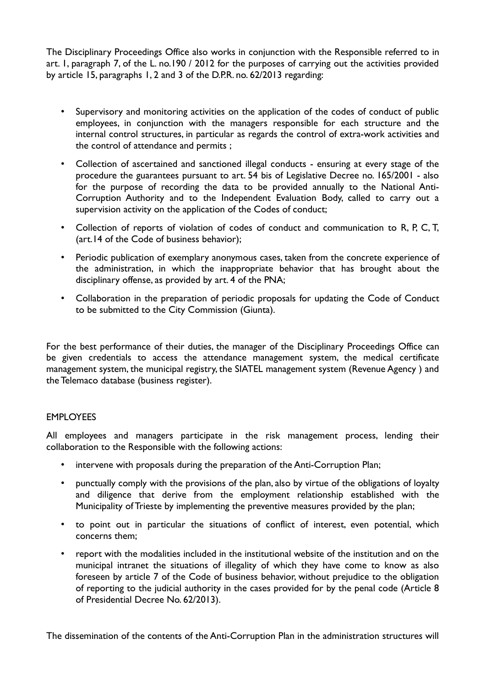The Disciplinary Proceedings Office also works in conjunction with the Responsible referred to in art. 1, paragraph 7, of the L. no.190 / 2012 for the purposes of carrying out the activities provided by article 15, paragraphs 1, 2 and 3 of the D.P.R. no. 62/2013 regarding:

- Supervisory and monitoring activities on the application of the codes of conduct of public employees, in conjunction with the managers responsible for each structure and the internal control structures, in particular as regards the control of extra-work activities and the control of attendance and permits ;
- Collection of ascertained and sanctioned illegal conducts ensuring at every stage of the procedure the guarantees pursuant to art. 54 bis of Legislative Decree no. 165/2001 - also for the purpose of recording the data to be provided annually to the National Anti-Corruption Authority and to the Independent Evaluation Body, called to carry out a supervision activity on the application of the Codes of conduct;
- Collection of reports of violation of codes of conduct and communication to R, P, C, T, (art.14 of the Code of business behavior);
- Periodic publication of exemplary anonymous cases, taken from the concrete experience of the administration, in which the inappropriate behavior that has brought about the disciplinary offense, as provided by art. 4 of the PNA;
- Collaboration in the preparation of periodic proposals for updating the Code of Conduct to be submitted to the City Commission (Giunta).

For the best performance of their duties, the manager of the Disciplinary Proceedings Office can be given credentials to access the attendance management system, the medical certificate management system, the municipal registry, the SIATEL management system (Revenue Agency ) and the Telemaco database (business register).

#### **EMPLOYEES**

All employees and managers participate in the risk management process, lending their collaboration to the Responsible with the following actions:

- intervene with proposals during the preparation of the Anti-Corruption Plan;
- punctually comply with the provisions of the plan, also by virtue of the obligations of loyalty and diligence that derive from the employment relationship established with the Municipality of Trieste by implementing the preventive measures provided by the plan;
- to point out in particular the situations of conflict of interest, even potential, which concerns them;
- report with the modalities included in the institutional website of the institution and on the municipal intranet the situations of illegality of which they have come to know as also foreseen by article 7 of the Code of business behavior, without prejudice to the obligation of reporting to the judicial authority in the cases provided for by the penal code (Article 8 of Presidential Decree No. 62/2013).

The dissemination of the contents of the Anti-Corruption Plan in the administration structures will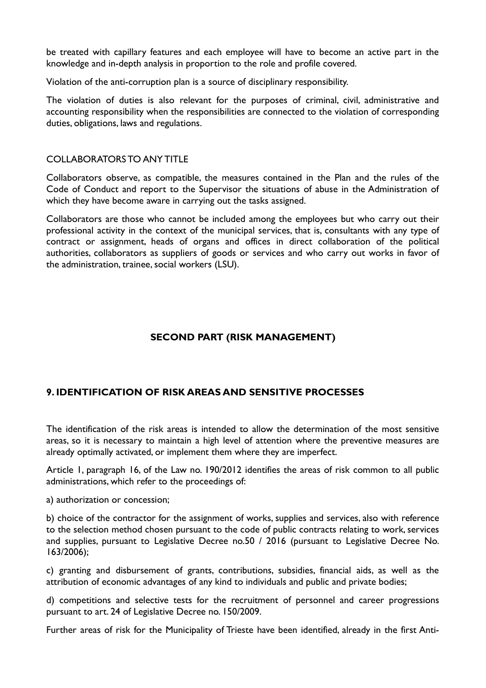be treated with capillary features and each employee will have to become an active part in the knowledge and in-depth analysis in proportion to the role and profile covered.

Violation of the anti-corruption plan is a source of disciplinary responsibility.

The violation of duties is also relevant for the purposes of criminal, civil, administrative and accounting responsibility when the responsibilities are connected to the violation of corresponding duties, obligations, laws and regulations.

#### COLLABORATORS TO ANY TITLE

Collaborators observe, as compatible, the measures contained in the Plan and the rules of the Code of Conduct and report to the Supervisor the situations of abuse in the Administration of which they have become aware in carrying out the tasks assigned.

Collaborators are those who cannot be included among the employees but who carry out their professional activity in the context of the municipal services, that is, consultants with any type of contract or assignment, heads of organs and offices in direct collaboration of the political authorities, collaborators as suppliers of goods or services and who carry out works in favor of the administration, trainee, social workers (LSU).

## **SECOND PART (RISK MANAGEMENT)**

# **9. IDENTIFICATION OF RISK AREAS AND SENSITIVE PROCESSES**

The identification of the risk areas is intended to allow the determination of the most sensitive areas, so it is necessary to maintain a high level of attention where the preventive measures are already optimally activated, or implement them where they are imperfect.

Article 1, paragraph 16, of the Law no. 190/2012 identifies the areas of risk common to all public administrations, which refer to the proceedings of:

a) authorization or concession;

b) choice of the contractor for the assignment of works, supplies and services, also with reference to the selection method chosen pursuant to the code of public contracts relating to work, services and supplies, pursuant to Legislative Decree no.50 / 2016 (pursuant to Legislative Decree No. 163/2006);

c) granting and disbursement of grants, contributions, subsidies, financial aids, as well as the attribution of economic advantages of any kind to individuals and public and private bodies;

d) competitions and selective tests for the recruitment of personnel and career progressions pursuant to art. 24 of Legislative Decree no. 150/2009.

Further areas of risk for the Municipality of Trieste have been identified, already in the first Anti-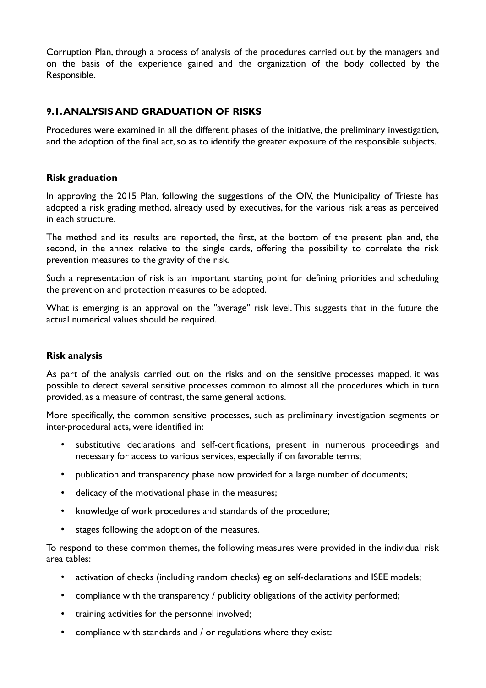Corruption Plan, through a process of analysis of the procedures carried out by the managers and on the basis of the experience gained and the organization of the body collected by the Responsible.

# **9.1. ANALYSIS AND GRADUATION OF RISKS**

Procedures were examined in all the different phases of the initiative, the preliminary investigation, and the adoption of the final act, so as to identify the greater exposure of the responsible subjects.

## **Risk graduation**

In approving the 2015 Plan, following the suggestions of the OIV, the Municipality of Trieste has adopted a risk grading method, already used by executives, for the various risk areas as perceived in each structure.

The method and its results are reported, the first, at the bottom of the present plan and, the second, in the annex relative to the single cards, offering the possibility to correlate the risk prevention measures to the gravity of the risk.

Such a representation of risk is an important starting point for defining priorities and scheduling the prevention and protection measures to be adopted.

What is emerging is an approval on the "average" risk level. This suggests that in the future the actual numerical values should be required.

## **Risk analysis**

As part of the analysis carried out on the risks and on the sensitive processes mapped, it was possible to detect several sensitive processes common to almost all the procedures which in turn provided, as a measure of contrast, the same general actions.

More specifically, the common sensitive processes, such as preliminary investigation segments or inter-procedural acts, were identified in:

- substitutive declarations and self-certifications, present in numerous proceedings and necessary for access to various services, especially if on favorable terms;
- publication and transparency phase now provided for a large number of documents;
- delicacy of the motivational phase in the measures;
- knowledge of work procedures and standards of the procedure;
- stages following the adoption of the measures.

To respond to these common themes, the following measures were provided in the individual risk area tables:

- activation of checks (including random checks) eg on self-declarations and ISEE models;
- compliance with the transparency / publicity obligations of the activity performed;
- training activities for the personnel involved;
- compliance with standards and / or regulations where they exist: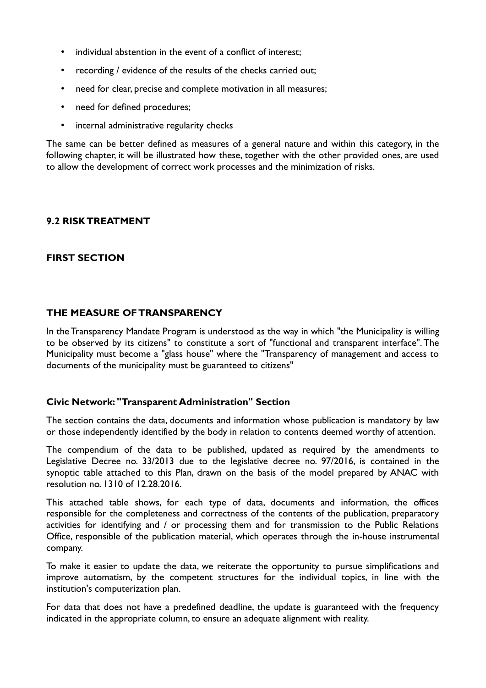- individual abstention in the event of a conflict of interest;
- recording / evidence of the results of the checks carried out;
- need for clear, precise and complete motivation in all measures;
- need for defined procedures;
- internal administrative regularity checks

The same can be better defined as measures of a general nature and within this category, in the following chapter, it will be illustrated how these, together with the other provided ones, are used to allow the development of correct work processes and the minimization of risks.

## **9.2 RISK TREATMENT**

## **FIRST SECTION**

## **THE MEASURE OF TRANSPARENCY**

In the Transparency Mandate Program is understood as the way in which "the Municipality is willing to be observed by its citizens" to constitute a sort of "functional and transparent interface". The Municipality must become a "glass house" where the "Transparency of management and access to documents of the municipality must be guaranteed to citizens"

#### **Civic Network: "Transparent Administration" Section**

The section contains the data, documents and information whose publication is mandatory by law or those independently identified by the body in relation to contents deemed worthy of attention.

The compendium of the data to be published, updated as required by the amendments to Legislative Decree no. 33/2013 due to the legislative decree no. 97/2016, is contained in the synoptic table attached to this Plan, drawn on the basis of the model prepared by ANAC with resolution no. 1310 of 12.28.2016.

This attached table shows, for each type of data, documents and information, the offices responsible for the completeness and correctness of the contents of the publication, preparatory activities for identifying and / or processing them and for transmission to the Public Relations Office, responsible of the publication material, which operates through the in-house instrumental company.

To make it easier to update the data, we reiterate the opportunity to pursue simplifications and improve automatism, by the competent structures for the individual topics, in line with the institution's computerization plan.

For data that does not have a predefined deadline, the update is guaranteed with the frequency indicated in the appropriate column, to ensure an adequate alignment with reality.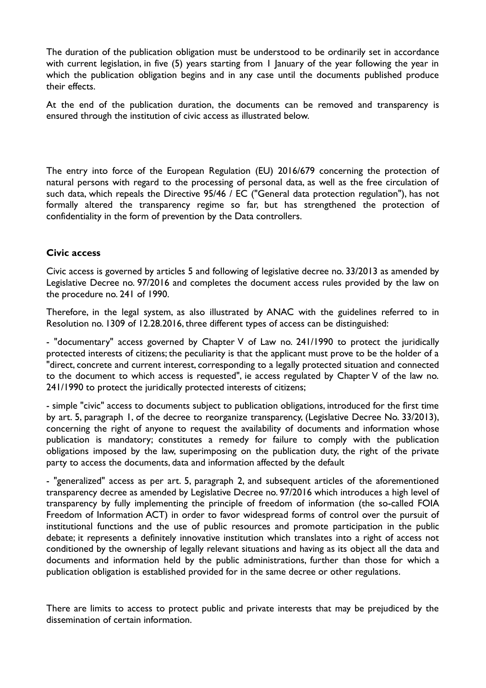The duration of the publication obligation must be understood to be ordinarily set in accordance with current legislation, in five (5) years starting from I January of the year following the year in which the publication obligation begins and in any case until the documents published produce their effects.

At the end of the publication duration, the documents can be removed and transparency is ensured through the institution of civic access as illustrated below.

The entry into force of the European Regulation (EU) 2016/679 concerning the protection of natural persons with regard to the processing of personal data, as well as the free circulation of such data, which repeals the Directive 95/46 / EC ("General data protection regulation"), has not formally altered the transparency regime so far, but has strengthened the protection of confidentiality in the form of prevention by the Data controllers.

## **Civic access**

Civic access is governed by articles 5 and following of legislative decree no. 33/2013 as amended by Legislative Decree no. 97/2016 and completes the document access rules provided by the law on the procedure no. 241 of 1990.

Therefore, in the legal system, as also illustrated by ANAC with the guidelines referred to in Resolution no. 1309 of 12.28.2016, three different types of access can be distinguished:

- "documentary" access governed by Chapter V of Law no. 241/1990 to protect the juridically protected interests of citizens; the peculiarity is that the applicant must prove to be the holder of a "direct, concrete and current interest, corresponding to a legally protected situation and connected to the document to which access is requested", ie access regulated by Chapter V of the law no. 241/1990 to protect the juridically protected interests of citizens;

- simple "civic" access to documents subject to publication obligations, introduced for the first time by art. 5, paragraph 1, of the decree to reorganize transparency, (Legislative Decree No. 33/2013), concerning the right of anyone to request the availability of documents and information whose publication is mandatory; constitutes a remedy for failure to comply with the publication obligations imposed by the law, superimposing on the publication duty, the right of the private party to access the documents, data and information affected by the default

- "generalized" access as per art. 5, paragraph 2, and subsequent articles of the aforementioned transparency decree as amended by Legislative Decree no. 97/2016 which introduces a high level of transparency by fully implementing the principle of freedom of information (the so-called FOIA Freedom of Information ACT) in order to favor widespread forms of control over the pursuit of institutional functions and the use of public resources and promote participation in the public debate; it represents a definitely innovative institution which translates into a right of access not conditioned by the ownership of legally relevant situations and having as its object all the data and documents and information held by the public administrations, further than those for which a publication obligation is established provided for in the same decree or other regulations.

There are limits to access to protect public and private interests that may be prejudiced by the dissemination of certain information.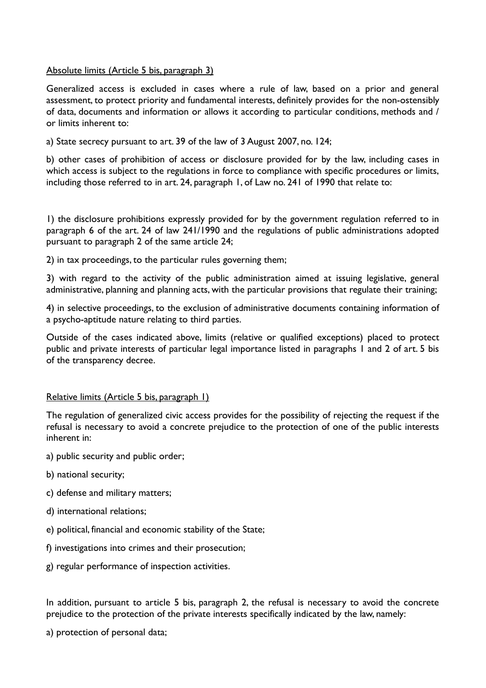#### Absolute limits (Article 5 bis, paragraph 3)

Generalized access is excluded in cases where a rule of law, based on a prior and general assessment, to protect priority and fundamental interests, definitely provides for the non-ostensibly of data, documents and information or allows it according to particular conditions, methods and / or limits inherent to:

a) State secrecy pursuant to art. 39 of the law of 3 August 2007, no. 124;

b) other cases of prohibition of access or disclosure provided for by the law, including cases in which access is subject to the regulations in force to compliance with specific procedures or limits, including those referred to in art. 24, paragraph 1, of Law no. 241 of 1990 that relate to:

1) the disclosure prohibitions expressly provided for by the government regulation referred to in paragraph 6 of the art. 24 of law 241/1990 and the regulations of public administrations adopted pursuant to paragraph 2 of the same article 24;

2) in tax proceedings, to the particular rules governing them;

3) with regard to the activity of the public administration aimed at issuing legislative, general administrative, planning and planning acts, with the particular provisions that regulate their training;

4) in selective proceedings, to the exclusion of administrative documents containing information of a psycho-aptitude nature relating to third parties.

Outside of the cases indicated above, limits (relative or qualified exceptions) placed to protect public and private interests of particular legal importance listed in paragraphs 1 and 2 of art. 5 bis of the transparency decree.

#### Relative limits (Article 5 bis, paragraph 1)

The regulation of generalized civic access provides for the possibility of rejecting the request if the refusal is necessary to avoid a concrete prejudice to the protection of one of the public interests inherent in:

- a) public security and public order;
- b) national security;
- c) defense and military matters;
- d) international relations;
- e) political, financial and economic stability of the State;
- f) investigations into crimes and their prosecution;
- g) regular performance of inspection activities.

In addition, pursuant to article 5 bis, paragraph 2, the refusal is necessary to avoid the concrete prejudice to the protection of the private interests specifically indicated by the law, namely:

a) protection of personal data;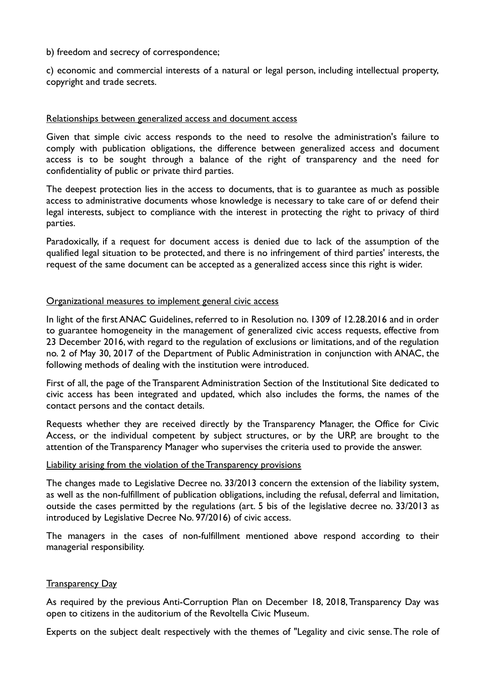b) freedom and secrecy of correspondence;

c) economic and commercial interests of a natural or legal person, including intellectual property, copyright and trade secrets.

#### Relationships between generalized access and document access

Given that simple civic access responds to the need to resolve the administration's failure to comply with publication obligations, the difference between generalized access and document access is to be sought through a balance of the right of transparency and the need for confidentiality of public or private third parties.

The deepest protection lies in the access to documents, that is to guarantee as much as possible access to administrative documents whose knowledge is necessary to take care of or defend their legal interests, subject to compliance with the interest in protecting the right to privacy of third parties.

Paradoxically, if a request for document access is denied due to lack of the assumption of the qualified legal situation to be protected, and there is no infringement of third parties' interests, the request of the same document can be accepted as a generalized access since this right is wider.

#### Organizational measures to implement general civic access

In light of the first ANAC Guidelines, referred to in Resolution no. 1309 of 12.28.2016 and in order to guarantee homogeneity in the management of generalized civic access requests, effective from 23 December 2016, with regard to the regulation of exclusions or limitations, and of the regulation no. 2 of May 30, 2017 of the Department of Public Administration in conjunction with ANAC, the following methods of dealing with the institution were introduced.

First of all, the page of the Transparent Administration Section of the Institutional Site dedicated to civic access has been integrated and updated, which also includes the forms, the names of the contact persons and the contact details.

Requests whether they are received directly by the Transparency Manager, the Office for Civic Access, or the individual competent by subject structures, or by the URP, are brought to the attention of the Transparency Manager who supervises the criteria used to provide the answer.

#### Liability arising from the violation of the Transparency provisions

The changes made to Legislative Decree no. 33/2013 concern the extension of the liability system, as well as the non-fulfillment of publication obligations, including the refusal, deferral and limitation, outside the cases permitted by the regulations (art. 5 bis of the legislative decree no. 33/2013 as introduced by Legislative Decree No. 97/2016) of civic access.

The managers in the cases of non-fulfillment mentioned above respond according to their managerial responsibility.

#### **Transparency Day**

As required by the previous Anti-Corruption Plan on December 18, 2018, Transparency Day was open to citizens in the auditorium of the Revoltella Civic Museum.

Experts on the subject dealt respectively with the themes of "Legality and civic sense. The role of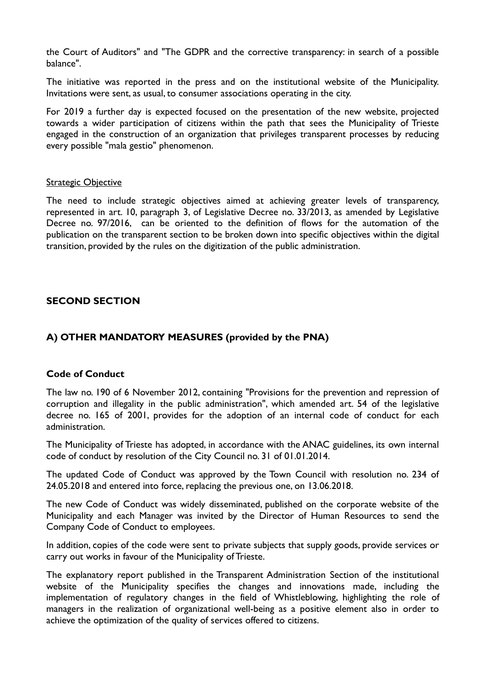the Court of Auditors" and "The GDPR and the corrective transparency: in search of a possible balance".

The initiative was reported in the press and on the institutional website of the Municipality. Invitations were sent, as usual, to consumer associations operating in the city.

For 2019 a further day is expected focused on the presentation of the new website, projected towards a wider participation of citizens within the path that sees the Municipality of Trieste engaged in the construction of an organization that privileges transparent processes by reducing every possible "mala gestio" phenomenon.

#### **Strategic Objective**

The need to include strategic objectives aimed at achieving greater levels of transparency, represented in art. 10, paragraph 3, of Legislative Decree no. 33/2013, as amended by Legislative Decree no. 97/2016, can be oriented to the definition of flows for the automation of the publication on the transparent section to be broken down into specific objectives within the digital transition, provided by the rules on the digitization of the public administration.

#### **SECOND SECTION**

## **A) OTHER MANDATORY MEASURES (provided by the PNA)**

#### **Code of Conduct**

The law no. 190 of 6 November 2012, containing "Provisions for the prevention and repression of corruption and illegality in the public administration", which amended art. 54 of the legislative decree no. 165 of 2001, provides for the adoption of an internal code of conduct for each administration.

The Municipality of Trieste has adopted, in accordance with the ANAC guidelines, its own internal code of conduct by resolution of the City Council no. 31 of 01.01.2014.

The updated Code of Conduct was approved by the Town Council with resolution no. 234 of 24.05.2018 and entered into force, replacing the previous one, on 13.06.2018.

The new Code of Conduct was widely disseminated, published on the corporate website of the Municipality and each Manager was invited by the Director of Human Resources to send the Company Code of Conduct to employees.

In addition, copies of the code were sent to private subjects that supply goods, provide services or carry out works in favour of the Municipality of Trieste.

The explanatory report published in the Transparent Administration Section of the institutional website of the Municipality specifies the changes and innovations made, including the implementation of regulatory changes in the field of Whistleblowing, highlighting the role of managers in the realization of organizational well-being as a positive element also in order to achieve the optimization of the quality of services offered to citizens.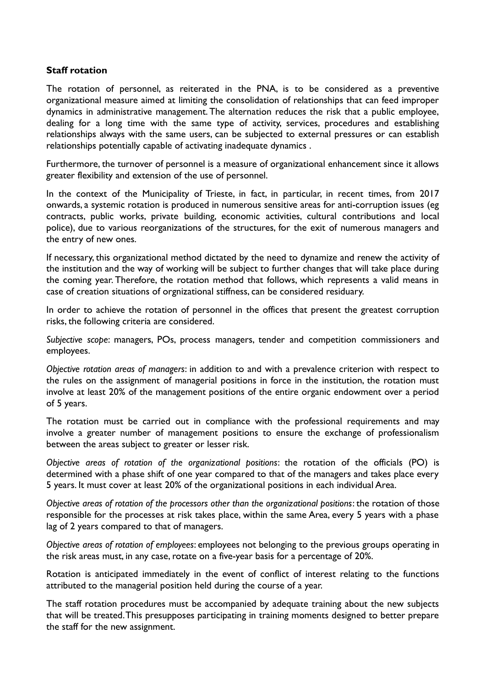#### **Staff rotation**

The rotation of personnel, as reiterated in the PNA, is to be considered as a preventive organizational measure aimed at limiting the consolidation of relationships that can feed improper dynamics in administrative management. The alternation reduces the risk that a public employee, dealing for a long time with the same type of activity, services, procedures and establishing relationships always with the same users, can be subjected to external pressures or can establish relationships potentially capable of activating inadequate dynamics .

Furthermore, the turnover of personnel is a measure of organizational enhancement since it allows greater flexibility and extension of the use of personnel.

In the context of the Municipality of Trieste, in fact, in particular, in recent times, from 2017 onwards, a systemic rotation is produced in numerous sensitive areas for anti-corruption issues (eg contracts, public works, private building, economic activities, cultural contributions and local police), due to various reorganizations of the structures, for the exit of numerous managers and the entry of new ones.

If necessary, this organizational method dictated by the need to dynamize and renew the activity of the institution and the way of working will be subject to further changes that will take place during the coming year. Therefore, the rotation method that follows, which represents a valid means in case of creation situations of orgnizational stiffness, can be considered residuary.

In order to achieve the rotation of personnel in the offices that present the greatest corruption risks, the following criteria are considered.

*Subjective scope*: managers, POs, process managers, tender and competition commissioners and employees.

*Objective rotation areas of managers*: in addition to and with a prevalence criterion with respect to the rules on the assignment of managerial positions in force in the institution, the rotation must involve at least 20% of the management positions of the entire organic endowment over a period of 5 years.

The rotation must be carried out in compliance with the professional requirements and may involve a greater number of management positions to ensure the exchange of professionalism between the areas subject to greater or lesser risk.

*Objective areas of rotation of the organizational positions*: the rotation of the officials (PO) is determined with a phase shift of one year compared to that of the managers and takes place every 5 years. It must cover at least 20% of the organizational positions in each individual Area.

*Objective areas of rotation of the processors other than the organizational positions*: the rotation of those responsible for the processes at risk takes place, within the same Area, every 5 years with a phase lag of 2 years compared to that of managers.

*Objective areas of rotation of employees*: employees not belonging to the previous groups operating in the risk areas must, in any case, rotate on a five-year basis for a percentage of 20%.

Rotation is anticipated immediately in the event of conflict of interest relating to the functions attributed to the managerial position held during the course of a year.

The staff rotation procedures must be accompanied by adequate training about the new subjects that will be treated. This presupposes participating in training moments designed to better prepare the staff for the new assignment.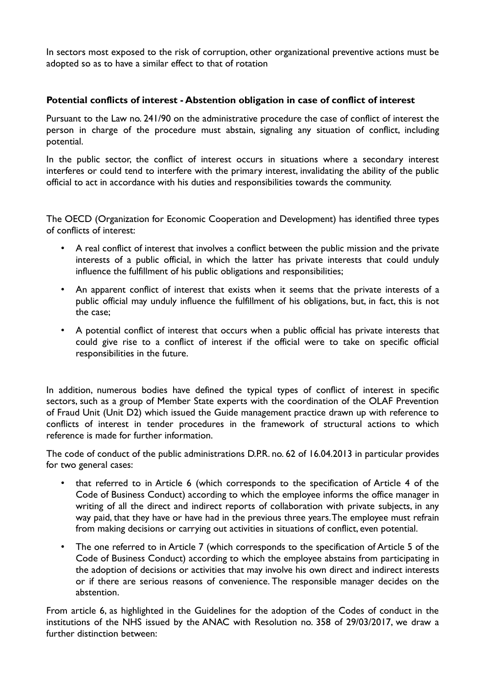In sectors most exposed to the risk of corruption, other organizational preventive actions must be adopted so as to have a similar effect to that of rotation

#### **Potential conflicts of interest - Abstention obligation in case of conflict of interest**

Pursuant to the Law no. 241/90 on the administrative procedure the case of conflict of interest the person in charge of the procedure must abstain, signaling any situation of conflict, including potential.

In the public sector, the conflict of interest occurs in situations where a secondary interest interferes or could tend to interfere with the primary interest, invalidating the ability of the public official to act in accordance with his duties and responsibilities towards the community.

The OECD (Organization for Economic Cooperation and Development) has identified three types of conflicts of interest:

- A real conflict of interest that involves a conflict between the public mission and the private interests of a public official, in which the latter has private interests that could unduly influence the fulfillment of his public obligations and responsibilities;
- An apparent conflict of interest that exists when it seems that the private interests of a public official may unduly influence the fulfillment of his obligations, but, in fact, this is not the case;
- A potential conflict of interest that occurs when a public official has private interests that could give rise to a conflict of interest if the official were to take on specific official responsibilities in the future.

In addition, numerous bodies have defined the typical types of conflict of interest in specific sectors, such as a group of Member State experts with the coordination of the OLAF Prevention of Fraud Unit (Unit D2) which issued the Guide management practice drawn up with reference to conflicts of interest in tender procedures in the framework of structural actions to which reference is made for further information.

The code of conduct of the public administrations D.P.R. no. 62 of 16.04.2013 in particular provides for two general cases:

- that referred to in Article 6 (which corresponds to the specification of Article 4 of the Code of Business Conduct) according to which the employee informs the office manager in writing of all the direct and indirect reports of collaboration with private subjects, in any way paid, that they have or have had in the previous three years. The employee must refrain from making decisions or carrying out activities in situations of conflict, even potential.
- The one referred to in Article 7 (which corresponds to the specification of Article 5 of the Code of Business Conduct) according to which the employee abstains from participating in the adoption of decisions or activities that may involve his own direct and indirect interests or if there are serious reasons of convenience. The responsible manager decides on the abstention.

From article 6, as highlighted in the Guidelines for the adoption of the Codes of conduct in the institutions of the NHS issued by the ANAC with Resolution no. 358 of 29/03/2017, we draw a further distinction between: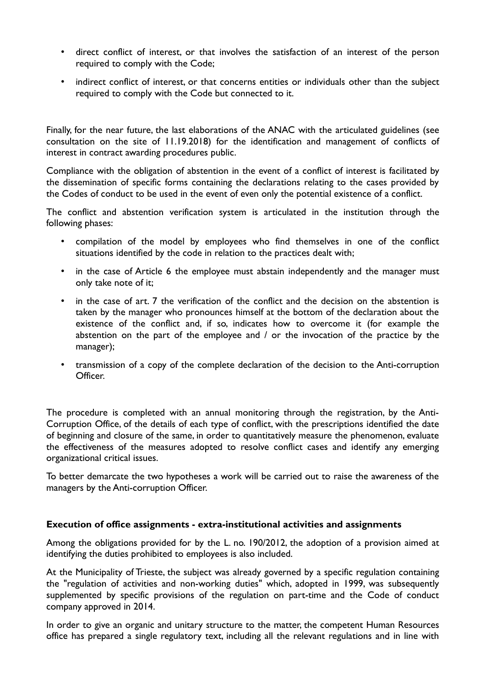- direct conflict of interest, or that involves the satisfaction of an interest of the person required to comply with the Code;
- indirect conflict of interest, or that concerns entities or individuals other than the subject required to comply with the Code but connected to it.

Finally, for the near future, the last elaborations of the ANAC with the articulated guidelines (see consultation on the site of 11.19.2018) for the identification and management of conflicts of interest in contract awarding procedures public.

Compliance with the obligation of abstention in the event of a conflict of interest is facilitated by the dissemination of specific forms containing the declarations relating to the cases provided by the Codes of conduct to be used in the event of even only the potential existence of a conflict.

The conflict and abstention verification system is articulated in the institution through the following phases:

- compilation of the model by employees who find themselves in one of the conflict situations identified by the code in relation to the practices dealt with;
- in the case of Article 6 the employee must abstain independently and the manager must only take note of it;
- in the case of art. 7 the verification of the conflict and the decision on the abstention is taken by the manager who pronounces himself at the bottom of the declaration about the existence of the conflict and, if so, indicates how to overcome it (for example the abstention on the part of the employee and / or the invocation of the practice by the manager);
- transmission of a copy of the complete declaration of the decision to the Anti-corruption Officer.

The procedure is completed with an annual monitoring through the registration, by the Anti-Corruption Office, of the details of each type of conflict, with the prescriptions identified the date of beginning and closure of the same, in order to quantitatively measure the phenomenon, evaluate the effectiveness of the measures adopted to resolve conflict cases and identify any emerging organizational critical issues.

To better demarcate the two hypotheses a work will be carried out to raise the awareness of the managers by the Anti-corruption Officer.

## **Execution of office assignments - extra-institutional activities and assignments**

Among the obligations provided for by the L. no. 190/2012, the adoption of a provision aimed at identifying the duties prohibited to employees is also included.

At the Municipality of Trieste, the subject was already governed by a specific regulation containing the "regulation of activities and non-working duties" which, adopted in 1999, was subsequently supplemented by specific provisions of the regulation on part-time and the Code of conduct company approved in 2014.

In order to give an organic and unitary structure to the matter, the competent Human Resources office has prepared a single regulatory text, including all the relevant regulations and in line with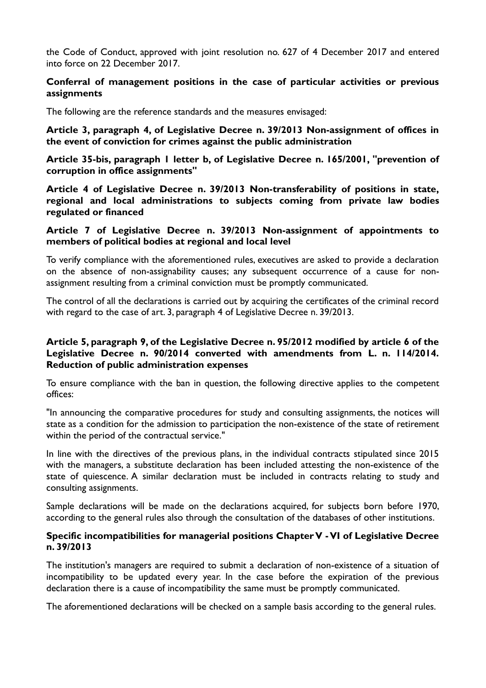the Code of Conduct, approved with joint resolution no. 627 of 4 December 2017 and entered into force on 22 December 2017.

#### **Conferral of management positions in the case of particular activities or previous assignments**

The following are the reference standards and the measures envisaged:

**Article 3, paragraph 4, of Legislative Decree n. 39/2013 Non-assignment of offices in the event of conviction for crimes against the public administration**

**Article 35-bis, paragraph 1 letter b, of Legislative Decree n. 165/2001, "prevention of corruption in office assignments"**

**Article 4 of Legislative Decree n. 39/2013 Non-transferability of positions in state, regional and local administrations to subjects coming from private law bodies regulated or financed**

#### **Article 7 of Legislative Decree n. 39/2013 Non-assignment of appointments to members of political bodies at regional and local level**

To verify compliance with the aforementioned rules, executives are asked to provide a declaration on the absence of non-assignability causes; any subsequent occurrence of a cause for nonassignment resulting from a criminal conviction must be promptly communicated.

The control of all the declarations is carried out by acquiring the certificates of the criminal record with regard to the case of art. 3, paragraph 4 of Legislative Decree n. 39/2013.

## **Article 5, paragraph 9, of the Legislative Decree n. 95/2012 modified by article 6 of the Legislative Decree n. 90/2014 converted with amendments from L. n. 114/2014. Reduction of public administration expenses**

To ensure compliance with the ban in question, the following directive applies to the competent offices:

"In announcing the comparative procedures for study and consulting assignments, the notices will state as a condition for the admission to participation the non-existence of the state of retirement within the period of the contractual service."

In line with the directives of the previous plans, in the individual contracts stipulated since 2015 with the managers, a substitute declaration has been included attesting the non-existence of the state of quiescence. A similar declaration must be included in contracts relating to study and consulting assignments.

Sample declarations will be made on the declarations acquired, for subjects born before 1970, according to the general rules also through the consultation of the databases of other institutions.

#### **Specific incompatibilities for managerial positions Chapter V - VI of Legislative Decree n. 39/2013**

The institution's managers are required to submit a declaration of non-existence of a situation of incompatibility to be updated every year. In the case before the expiration of the previous declaration there is a cause of incompatibility the same must be promptly communicated.

The aforementioned declarations will be checked on a sample basis according to the general rules.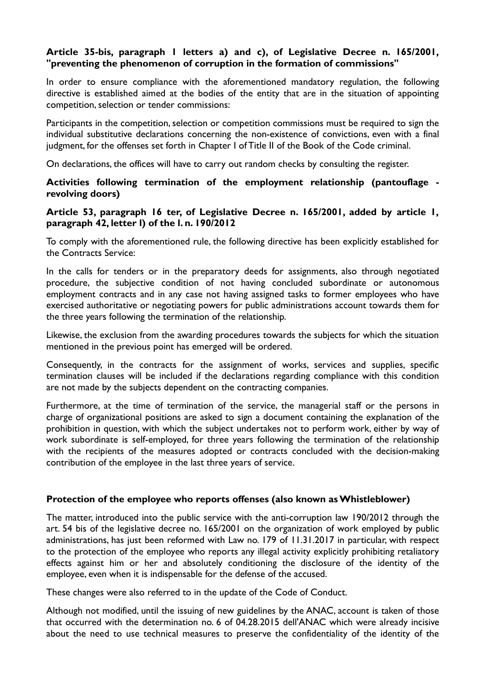#### **Article 35-bis, paragraph 1 letters a) and c), of Legislative Decree n. 165/2001, "preventing the phenomenon of corruption in the formation of commissions"**

In order to ensure compliance with the aforementioned mandatory regulation, the following directive is established aimed at the bodies of the entity that are in the situation of appointing competition, selection or tender commissions:

Participants in the competition, selection or competition commissions must be required to sign the individual substitutive declarations concerning the non-existence of convictions, even with a final judgment, for the offenses set forth in Chapter I of Title II of the Book of the Code criminal.

On declarations, the offices will have to carry out random checks by consulting the register.

#### **Activities following termination of the employment relationship (pantouflage revolving doors)**

#### **Article 53, paragraph 16 ter, of Legislative Decree n. 165/2001, added by article 1, paragraph 42, letter l) of the l. n. 190/2012**

To comply with the aforementioned rule, the following directive has been explicitly established for the Contracts Service:

In the calls for tenders or in the preparatory deeds for assignments, also through negotiated procedure, the subjective condition of not having concluded subordinate or autonomous employment contracts and in any case not having assigned tasks to former employees who have exercised authoritative or negotiating powers for public administrations account towards them for the three years following the termination of the relationship.

Likewise, the exclusion from the awarding procedures towards the subjects for which the situation mentioned in the previous point has emerged will be ordered.

Consequently, in the contracts for the assignment of works, services and supplies, specific termination clauses will be included if the declarations regarding compliance with this condition are not made by the subjects dependent on the contracting companies.

Furthermore, at the time of termination of the service, the managerial staff or the persons in charge of organizational positions are asked to sign a document containing the explanation of the prohibition in question, with which the subject undertakes not to perform work, either by way of work subordinate is self-employed, for three years following the termination of the relationship with the recipients of the measures adopted or contracts concluded with the decision-making contribution of the employee in the last three years of service.

#### **Protection of the employee who reports offenses (also known as Whistleblower)**

The matter, introduced into the public service with the anti-corruption law 190/2012 through the art. 54 bis of the legislative decree no. 165/2001 on the organization of work employed by public administrations, has just been reformed with Law no. 179 of 11.31.2017 in particular, with respect to the protection of the employee who reports any illegal activity explicitly prohibiting retaliatory effects against him or her and absolutely conditioning the disclosure of the identity of the employee, even when it is indispensable for the defense of the accused.

These changes were also referred to in the update of the Code of Conduct.

Although not modified, until the issuing of new guidelines by the ANAC, account is taken of those that occurred with the determination no. 6 of 04.28.2015 dell'ANAC which were already incisive about the need to use technical measures to preserve the confidentiality of the identity of the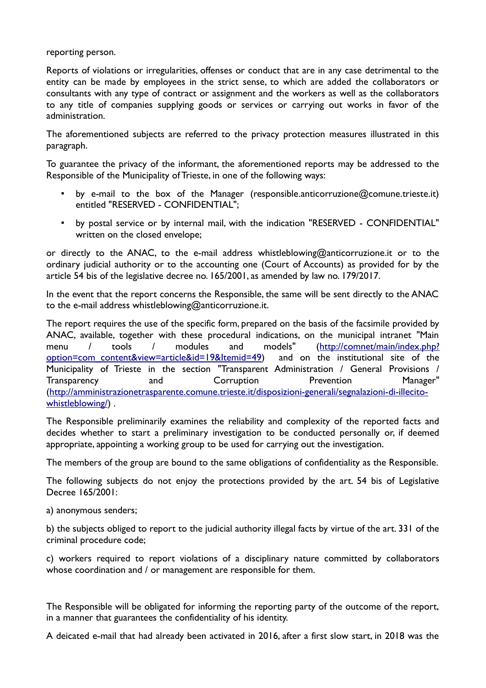reporting person.

Reports of violations or irregularities, offenses or conduct that are in any case detrimental to the entity can be made by employees in the strict sense, to which are added the collaborators or consultants with any type of contract or assignment and the workers as well as the collaborators to any title of companies supplying goods or services or carrying out works in favor of the administration.

The aforementioned subjects are referred to the privacy protection measures illustrated in this paragraph.

To guarantee the privacy of the informant, the aforementioned reports may be addressed to the Responsible of the Municipality of Trieste, in one of the following ways:

- by e-mail to the box of the Manager (responsible.anticorruzione@comune.trieste.it) entitled "RESERVED - CONFIDENTIAL";
- by postal service or by internal mail, with the indication "RESERVED CONFIDENTIAL" written on the closed envelope;

or directly to the ANAC, to the e-mail address whistleblowing@anticorruzione.it or to the ordinary judicial authority or to the accounting one (Court of Accounts) as provided for by the article 54 bis of the legislative decree no. 165/2001, as amended by law no. 179/2017.

In the event that the report concerns the Responsible, the same will be sent directly to the ANAC to the e-mail address whistleblowing@anticorruzione.it.

The report requires the use of the specific form, prepared on the basis of the facsimile provided by ANAC, available, together with these procedural indications, on the municipal intranet "Main menu / tools / modules and models" [\(http://comnet/main/index.php?](http://comnet/main/index.php?option=com_content&view=article&id=19&Itemid=49) [option=com\\_content&view=article&id=19&Itemid=49\)](http://comnet/main/index.php?option=com_content&view=article&id=19&Itemid=49) and on the institutional site of the Municipality of Trieste in the section "Transparent Administration / General Provisions / Transparency and Corruption Prevention Manager" ([http://amministrazionetrasparente.comune.trieste.it/disposizioni-generali/segnalazioni-di-illecito](http://amministrazionetrasparente.comune.trieste.it/disposizioni-generali/segnalazioni-di-illecito-whistleblowing/)[whistleblowing/](http://amministrazionetrasparente.comune.trieste.it/disposizioni-generali/segnalazioni-di-illecito-whistleblowing/)) .

The Responsible preliminarily examines the reliability and complexity of the reported facts and decides whether to start a preliminary investigation to be conducted personally or, if deemed appropriate, appointing a working group to be used for carrying out the investigation.

The members of the group are bound to the same obligations of confidentiality as the Responsible.

The following subjects do not enjoy the protections provided by the art. 54 bis of Legislative Decree 165/2001:

a) anonymous senders;

b) the subjects obliged to report to the judicial authority illegal facts by virtue of the art. 331 of the criminal procedure code;

c) workers required to report violations of a disciplinary nature committed by collaborators whose coordination and / or management are responsible for them.

The Responsible will be obligated for informing the reporting party of the outcome of the report, in a manner that guarantees the confidentiality of his identity.

A deicated e-mail that had already been activated in 2016, after a first slow start, in 2018 was the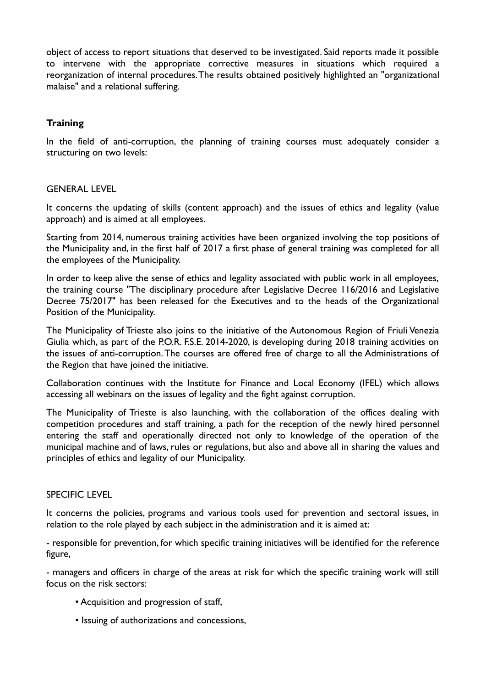object of access to report situations that deserved to be investigated. Said reports made it possible to intervene with the appropriate corrective measures in situations which required a reorganization of internal procedures. The results obtained positively highlighted an "organizational malaise" and a relational suffering.

## **Training**

In the field of anti-corruption, the planning of training courses must adequately consider a structuring on two levels:

#### GENERAL LEVEL

It concerns the updating of skills (content approach) and the issues of ethics and legality (value approach) and is aimed at all employees.

Starting from 2014, numerous training activities have been organized involving the top positions of the Municipality and, in the first half of 2017 a first phase of general training was completed for all the employees of the Municipality.

In order to keep alive the sense of ethics and legality associated with public work in all employees, the training course "The disciplinary procedure after Legislative Decree 116/2016 and Legislative Decree 75/2017" has been released for the Executives and to the heads of the Organizational Position of the Municipality.

The Municipality of Trieste also joins to the initiative of the Autonomous Region of Friuli Venezia Giulia which, as part of the P.O.R. F.S.E. 2014-2020, is developing during 2018 training activities on the issues of anti-corruption. The courses are offered free of charge to all the Administrations of the Region that have joined the initiative.

Collaboration continues with the Institute for Finance and Local Economy (IFEL) which allows accessing all webinars on the issues of legality and the fight against corruption.

The Municipality of Trieste is also launching, with the collaboration of the offices dealing with competition procedures and staff training, a path for the reception of the newly hired personnel entering the staff and operationally directed not only to knowledge of the operation of the municipal machine and of laws, rules or regulations, but also and above all in sharing the values and principles of ethics and legality of our Municipality.

#### SPECIFIC LEVEL

It concerns the policies, programs and various tools used for prevention and sectoral issues, in relation to the role played by each subject in the administration and it is aimed at:

- responsible for prevention, for which specific training initiatives will be identified for the reference figure,

- managers and officers in charge of the areas at risk for which the specific training work will still focus on the risk sectors:

- Acquisition and progression of staff,
- Issuing of authorizations and concessions,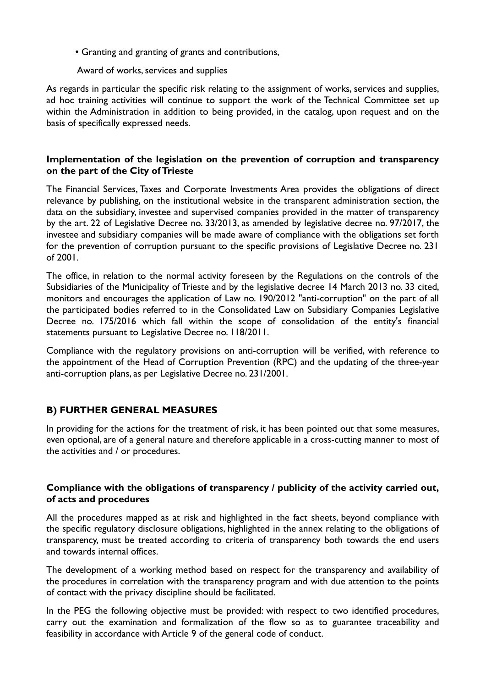• Granting and granting of grants and contributions,

#### Award of works, services and supplies

As regards in particular the specific risk relating to the assignment of works, services and supplies, ad hoc training activities will continue to support the work of the Technical Committee set up within the Administration in addition to being provided, in the catalog, upon request and on the basis of specifically expressed needs.

## **Implementation of the legislation on the prevention of corruption and transparency on the part of the City of Trieste**

The Financial Services, Taxes and Corporate Investments Area provides the obligations of direct relevance by publishing, on the institutional website in the transparent administration section, the data on the subsidiary, investee and supervised companies provided in the matter of transparency by the art. 22 of Legislative Decree no. 33/2013, as amended by legislative decree no. 97/2017, the investee and subsidiary companies will be made aware of compliance with the obligations set forth for the prevention of corruption pursuant to the specific provisions of Legislative Decree no. 231 of 2001.

The office, in relation to the normal activity foreseen by the Regulations on the controls of the Subsidiaries of the Municipality of Trieste and by the legislative decree 14 March 2013 no. 33 cited, monitors and encourages the application of Law no. 190/2012 "anti-corruption" on the part of all the participated bodies referred to in the Consolidated Law on Subsidiary Companies Legislative Decree no. 175/2016 which fall within the scope of consolidation of the entity's financial statements pursuant to Legislative Decree no. 118/2011.

Compliance with the regulatory provisions on anti-corruption will be verified, with reference to the appointment of the Head of Corruption Prevention (RPC) and the updating of the three-year anti-corruption plans, as per Legislative Decree no. 231/2001.

# **B) FURTHER GENERAL MEASURES**

In providing for the actions for the treatment of risk, it has been pointed out that some measures, even optional, are of a general nature and therefore applicable in a cross-cutting manner to most of the activities and / or procedures.

## **Compliance with the obligations of transparency / publicity of the activity carried out, of acts and procedures**

All the procedures mapped as at risk and highlighted in the fact sheets, beyond compliance with the specific regulatory disclosure obligations, highlighted in the annex relating to the obligations of transparency, must be treated according to criteria of transparency both towards the end users and towards internal offices.

The development of a working method based on respect for the transparency and availability of the procedures in correlation with the transparency program and with due attention to the points of contact with the privacy discipline should be facilitated.

In the PEG the following objective must be provided: with respect to two identified procedures, carry out the examination and formalization of the flow so as to guarantee traceability and feasibility in accordance with Article 9 of the general code of conduct.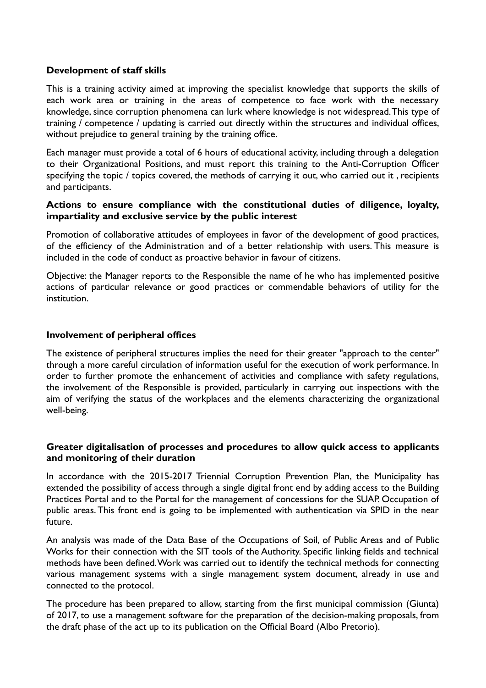#### **Development of staff skills**

This is a training activity aimed at improving the specialist knowledge that supports the skills of each work area or training in the areas of competence to face work with the necessary knowledge, since corruption phenomena can lurk where knowledge is not widespread. This type of training / competence / updating is carried out directly within the structures and individual offices, without prejudice to general training by the training office.

Each manager must provide a total of 6 hours of educational activity, including through a delegation to their Organizational Positions, and must report this training to the Anti-Corruption Officer specifying the topic / topics covered, the methods of carrying it out, who carried out it , recipients and participants.

#### **Actions to ensure compliance with the constitutional duties of diligence, loyalty, impartiality and exclusive service by the public interest**

Promotion of collaborative attitudes of employees in favor of the development of good practices, of the efficiency of the Administration and of a better relationship with users. This measure is included in the code of conduct as proactive behavior in favour of citizens.

Objective: the Manager reports to the Responsible the name of he who has implemented positive actions of particular relevance or good practices or commendable behaviors of utility for the institution.

#### **Involvement of peripheral offices**

The existence of peripheral structures implies the need for their greater "approach to the center" through a more careful circulation of information useful for the execution of work performance. In order to further promote the enhancement of activities and compliance with safety regulations, the involvement of the Responsible is provided, particularly in carrying out inspections with the aim of verifying the status of the workplaces and the elements characterizing the organizational well-being.

#### **Greater digitalisation of processes and procedures to allow quick access to applicants and monitoring of their duration**

In accordance with the 2015-2017 Triennial Corruption Prevention Plan, the Municipality has extended the possibility of access through a single digital front end by adding access to the Building Practices Portal and to the Portal for the management of concessions for the SUAP. Occupation of public areas. This front end is going to be implemented with authentication via SPID in the near future.

An analysis was made of the Data Base of the Occupations of Soil, of Public Areas and of Public Works for their connection with the SIT tools of the Authority. Specific linking fields and technical methods have been defined. Work was carried out to identify the technical methods for connecting various management systems with a single management system document, already in use and connected to the protocol.

The procedure has been prepared to allow, starting from the first municipal commission (Giunta) of 2017, to use a management software for the preparation of the decision-making proposals, from the draft phase of the act up to its publication on the Official Board (Albo Pretorio).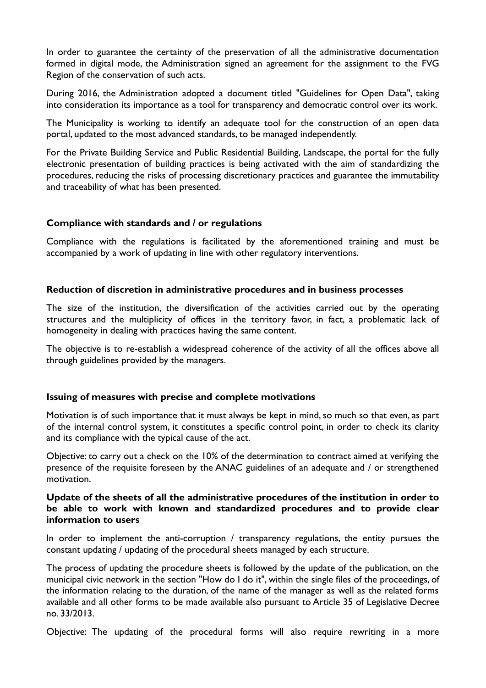In order to guarantee the certainty of the preservation of all the administrative documentation formed in digital mode, the Administration signed an agreement for the assignment to the FVG Region of the conservation of such acts.

During 2016, the Administration adopted a document titled "Guidelines for Open Data", taking into consideration its importance as a tool for transparency and democratic control over its work.

The Municipality is working to identify an adequate tool for the construction of an open data portal, updated to the most advanced standards, to be managed independently.

For the Private Building Service and Public Residential Building, Landscape, the portal for the fully electronic presentation of building practices is being activated with the aim of standardizing the procedures, reducing the risks of processing discretionary practices and guarantee the immutability and traceability of what has been presented.

#### **Compliance with standards and / or regulations**

Compliance with the regulations is facilitated by the aforementioned training and must be accompanied by a work of updating in line with other regulatory interventions.

#### **Reduction of discretion in administrative procedures and in business processes**

The size of the institution, the diversification of the activities carried out by the operating structures and the multiplicity of offices in the territory favor, in fact, a problematic lack of homogeneity in dealing with practices having the same content.

The objective is to re-establish a widespread coherence of the activity of all the offices above all through guidelines provided by the managers.

#### **Issuing of measures with precise and complete motivations**

Motivation is of such importance that it must always be kept in mind, so much so that even, as part of the internal control system, it constitutes a specific control point, in order to check its clarity and its compliance with the typical cause of the act.

Objective: to carry out a check on the 10% of the determination to contract aimed at verifying the presence of the requisite foreseen by the ANAC guidelines of an adequate and / or strengthened motivation.

#### **Update of the sheets of all the administrative procedures of the institution in order to be able to work with known and standardized procedures and to provide clear information to users**

In order to implement the anti-corruption / transparency regulations, the entity pursues the constant updating / updating of the procedural sheets managed by each structure.

The process of updating the procedure sheets is followed by the update of the publication, on the municipal civic network in the section "How do I do it", within the single files of the proceedings, of the information relating to the duration, of the name of the manager as well as the related forms available and all other forms to be made available also pursuant to Article 35 of Legislative Decree no. 33/2013.

Objective: The updating of the procedural forms will also require rewriting in a more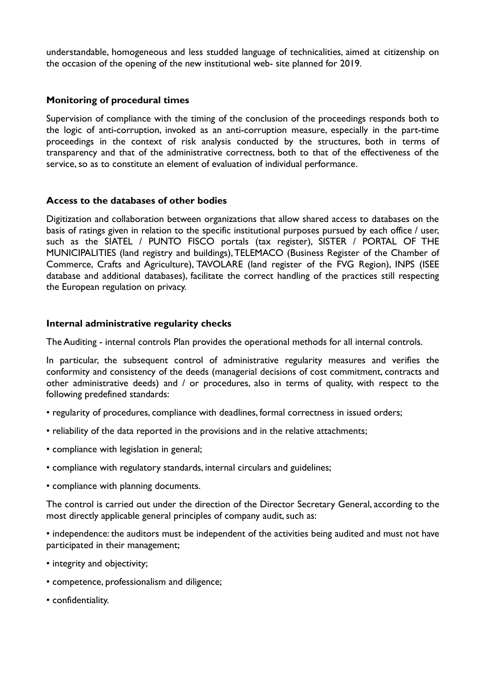understandable, homogeneous and less studded language of technicalities, aimed at citizenship on the occasion of the opening of the new institutional web- site planned for 2019.

#### **Monitoring of procedural times**

Supervision of compliance with the timing of the conclusion of the proceedings responds both to the logic of anti-corruption, invoked as an anti-corruption measure, especially in the part-time proceedings in the context of risk analysis conducted by the structures, both in terms of transparency and that of the administrative correctness, both to that of the effectiveness of the service, so as to constitute an element of evaluation of individual performance.

#### **Access to the databases of other bodies**

Digitization and collaboration between organizations that allow shared access to databases on the basis of ratings given in relation to the specific institutional purposes pursued by each office / user, such as the SIATEL / PUNTO FISCO portals (tax register), SISTER / PORTAL OF THE MUNICIPALITIES (land registry and buildings), TELEMACO (Business Register of the Chamber of Commerce, Crafts and Agriculture), TAVOLARE (land register of the FVG Region), INPS (ISEE database and additional databases), facilitate the correct handling of the practices still respecting the European regulation on privacy.

#### **Internal administrative regularity checks**

The Auditing - internal controls Plan provides the operational methods for all internal controls.

In particular, the subsequent control of administrative regularity measures and verifies the conformity and consistency of the deeds (managerial decisions of cost commitment, contracts and other administrative deeds) and / or procedures, also in terms of quality, with respect to the following predefined standards:

- regularity of procedures, compliance with deadlines, formal correctness in issued orders;
- reliability of the data reported in the provisions and in the relative attachments;
- compliance with legislation in general;
- compliance with regulatory standards, internal circulars and guidelines;
- compliance with planning documents.

The control is carried out under the direction of the Director Secretary General, according to the most directly applicable general principles of company audit, such as:

• independence: the auditors must be independent of the activities being audited and must not have participated in their management;

- integrity and objectivity;
- competence, professionalism and diligence;
- confidentiality.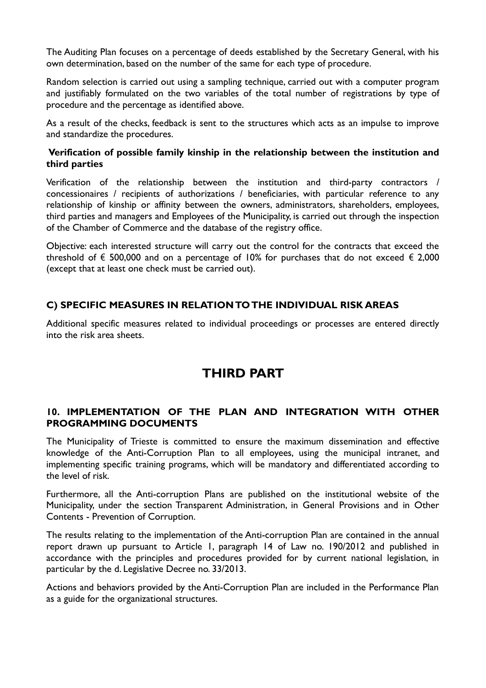The Auditing Plan focuses on a percentage of deeds established by the Secretary General, with his own determination, based on the number of the same for each type of procedure.

Random selection is carried out using a sampling technique, carried out with a computer program and justifiably formulated on the two variables of the total number of registrations by type of procedure and the percentage as identified above.

As a result of the checks, feedback is sent to the structures which acts as an impulse to improve and standardize the procedures.

## **Verification of possible family kinship in the relationship between the institution and third parties**

Verification of the relationship between the institution and third-party contractors / concessionaires / recipients of authorizations / beneficiaries, with particular reference to any relationship of kinship or affinity between the owners, administrators, shareholders, employees, third parties and managers and Employees of the Municipality, is carried out through the inspection of the Chamber of Commerce and the database of the registry office.

Objective: each interested structure will carry out the control for the contracts that exceed the threshold of  $\epsilon$  500,000 and on a percentage of 10% for purchases that do not exceed  $\epsilon$  2,000 (except that at least one check must be carried out).

# **C) SPECIFIC MEASURES IN RELATION TO THE INDIVIDUAL RISK AREAS**

Additional specific measures related to individual proceedings or processes are entered directly into the risk area sheets.

# **THIRD PART**

## **10. IMPLEMENTATION OF THE PLAN AND INTEGRATION WITH OTHER PROGRAMMING DOCUMENTS**

The Municipality of Trieste is committed to ensure the maximum dissemination and effective knowledge of the Anti-Corruption Plan to all employees, using the municipal intranet, and implementing specific training programs, which will be mandatory and differentiated according to the level of risk.

Furthermore, all the Anti-corruption Plans are published on the institutional website of the Municipality, under the section Transparent Administration, in General Provisions and in Other Contents - Prevention of Corruption.

The results relating to the implementation of the Anti-corruption Plan are contained in the annual report drawn up pursuant to Article 1, paragraph 14 of Law no. 190/2012 and published in accordance with the principles and procedures provided for by current national legislation, in particular by the d. Legislative Decree no. 33/2013.

Actions and behaviors provided by the Anti-Corruption Plan are included in the Performance Plan as a guide for the organizational structures.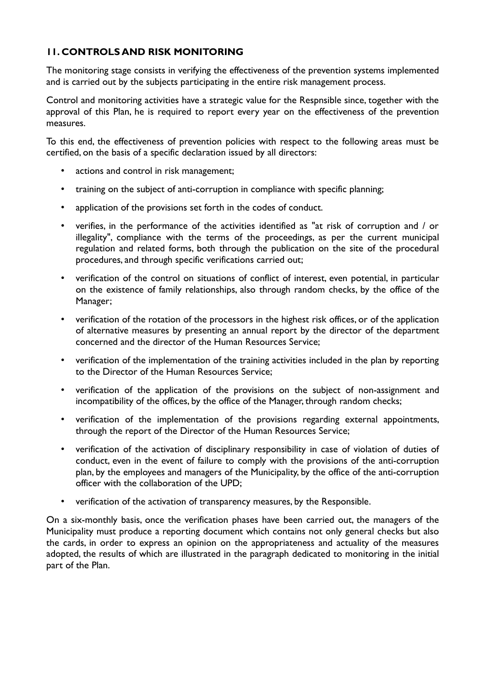# **11. CONTROLS AND RISK MONITORING**

The monitoring stage consists in verifying the effectiveness of the prevention systems implemented and is carried out by the subjects participating in the entire risk management process.

Control and monitoring activities have a strategic value for the Respnsible since, together with the approval of this Plan, he is required to report every year on the effectiveness of the prevention measures.

To this end, the effectiveness of prevention policies with respect to the following areas must be certified, on the basis of a specific declaration issued by all directors:

- actions and control in risk management;
- training on the subject of anti-corruption in compliance with specific planning;
- application of the provisions set forth in the codes of conduct.
- verifies, in the performance of the activities identified as "at risk of corruption and / or illegality", compliance with the terms of the proceedings, as per the current municipal regulation and related forms, both through the publication on the site of the procedural procedures, and through specific verifications carried out;
- verification of the control on situations of conflict of interest, even potential, in particular on the existence of family relationships, also through random checks, by the office of the Manager;
- verification of the rotation of the processors in the highest risk offices, or of the application of alternative measures by presenting an annual report by the director of the department concerned and the director of the Human Resources Service;
- verification of the implementation of the training activities included in the plan by reporting to the Director of the Human Resources Service;
- verification of the application of the provisions on the subject of non-assignment and incompatibility of the offices, by the office of the Manager, through random checks;
- verification of the implementation of the provisions regarding external appointments, through the report of the Director of the Human Resources Service;
- verification of the activation of disciplinary responsibility in case of violation of duties of conduct, even in the event of failure to comply with the provisions of the anti-corruption plan, by the employees and managers of the Municipality, by the office of the anti-corruption officer with the collaboration of the UPD;
- verification of the activation of transparency measures, by the Responsible.

On a six-monthly basis, once the verification phases have been carried out, the managers of the Municipality must produce a reporting document which contains not only general checks but also the cards, in order to express an opinion on the appropriateness and actuality of the measures adopted, the results of which are illustrated in the paragraph dedicated to monitoring in the initial part of the Plan.